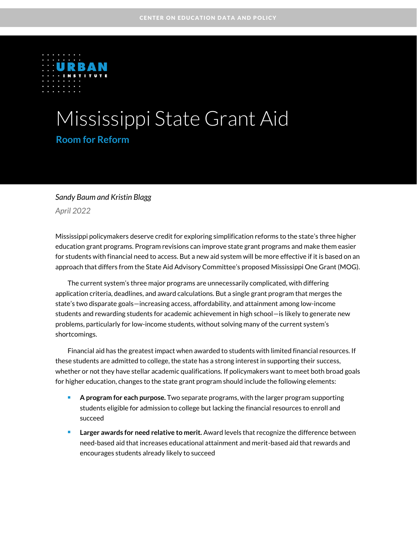

# Mississippi State Grant Aid **Room for Reform**

#### *Sandy Baum and Kristin Blagg*

*April 2022*

Mississippi policymakers deserve credit for exploring simplification reforms to the state's three higher education grant programs. Program revisions can improve state grant programs and make them easier for students with financial need to access. But a new aid system will be more effective if it is based on an approach that differs from the State Aid Advisory Committee's proposed Mississippi One Grant (MOG).

The current system's three major programs are unnecessarily complicated, with differing application criteria, deadlines, and award calculations. But a single grant program that merges the state's two disparate goals—increasing access, affordability, and attainment among low-income students and rewarding students for academic achievement in high school—is likely to generate new problems, particularly for low-income students, without solving many of the current system's shortcomings.

Financial aid has the greatest impact when awarded to students with limited financial resources. If these students are admitted to college, the state has a strong interest in supporting their success, whether or not they have stellar academic qualifications. If policymakers want to meet both broad goals for higher education, changes to the state grant program should include the following elements:

- A program for each purpose. Two separate programs, with the larger program supporting students eligible for admission to college but lacking the financial resources to enroll and succeed
- <sup>◼</sup> **Larger awards for need relative to merit.** Award levels that recognize the difference between need-based aid that increases educational attainment and merit-based aid that rewards and encourages students already likely to succeed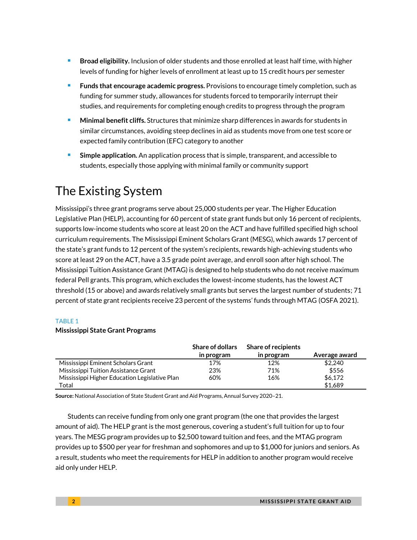- <sup>◼</sup> **Broad eligibility.** Inclusion of older students and those enrolled at least half time, with higher levels of funding for higher levels of enrollment at least up to 15 credit hours per semester
- <sup>◼</sup> **Funds that encourage academic progress.** Provisions to encourage timely completion, such as funding for summer study, allowances for students forced to temporarily interrupt their studies, and requirements for completing enough credits to progress through the program
- <sup>◼</sup> **Minimal benefit cliffs.** Structures that minimize sharp differences in awards for students in similar circumstances, avoiding steep declines in aid as students move from one test score or expected family contribution (EFC) category to another
- **Simple application.** An application process that is simple, transparent, and accessible to students, especially those applying with minimal family or community support

# The Existing System

Mississippi's three grant programs serve about 25,000 students per year. The Higher Education Legislative Plan (HELP), accounting for 60 percent of state grant funds but only 16 percent of recipients, supports low-income students who score at least 20 on the ACT and have fulfilled specified high school curriculum requirements. The Mississippi Eminent Scholars Grant (MESG), which awards 17 percent of the state's grant funds to 12 percent of the system's recipients, rewards high-achieving students who score at least 29 on the ACT, have a 3.5 grade point average, and enroll soon after high school. The Mississippi Tuition Assistance Grant (MTAG) is designed to help students who do not receive maximum federal Pell grants. This program, which excludes the lowest-income students, has the lowest ACT threshold (15 or above) and awards relatively small grants but serves the largest number of students; 71 percent of state grant recipients receive 23 percent of the systems' funds through MTAG (OSFA 2021).

#### TABLE 1

#### **Mississippi State Grant Programs**

|                                               | <b>Share of dollars</b><br>in program | <b>Share of recipients</b><br>in program | Average award |
|-----------------------------------------------|---------------------------------------|------------------------------------------|---------------|
| Mississippi Eminent Scholars Grant            | 17%                                   | 12%                                      | \$2,240       |
| Mississippi Tuition Assistance Grant          | 23%                                   | 71%                                      | \$556         |
| Mississippi Higher Education Legislative Plan | 60%                                   | 16%                                      | \$6,172       |
| Total                                         |                                       |                                          | \$1.689       |

**Source:** National Association of State Student Grant and Aid Programs, Annual Survey 2020–21.

Students can receive funding from only one grant program (the one that provides the largest amount of aid). The HELP grant is the most generous, covering a student's full tuition for up to four years. The MESG program provides up to \$2,500 toward tuition and fees, and the MTAG program provides up to \$500 per year for freshman and sophomores and up to \$1,000 for juniors and seniors. As a result, students who meet the requirements for HELP in addition to another program would receive aid only under HELP.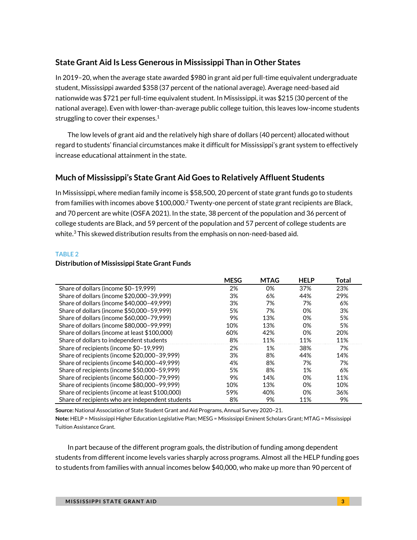### **State Grant Aid Is Less Generous in Mississippi Than in Other States**

In 2019–20, when the average state awarded \$980 in grant aid per full-time equivalent undergraduate student, Mississippi awarded \$358 (37 percent of the national average). Average need-based aid nationwide was \$721 per full-time equivalent student. In Mississippi, it was \$215 (30 percent of the national average). Even with lower-than-average public college tuition, this leaves low-income students struggling to cover their expenses.<sup>1</sup>

The low levels of grant aid and the relatively high share of dollars (40 percent) allocated without regard to students' financial circumstances make it difficult for Mississippi's grant system to effectively increase educational attainment in the state.

### **Much of Mississippi's State Grant Aid Goes to Relatively Affluent Students**

In Mississippi, where median family income is \$58,500, 20 percent of state grant funds go to students from families with incomes above  $$100,000.<sup>2</sup>$  Twenty-one percent of state grant recipients are Black, and 70 percent are white (OSFA 2021). In the state, 38 percent of the population and 36 percent of college students are Black, and 59 percent of the population and 57 percent of college students are white. $3$  This skewed distribution results from the emphasis on non-need-based aid.

#### TABLE 2

#### **Distribution of Mississippi State Grant Funds**

|                                                  | <b>MESG</b> | <b>MTAG</b> | <b>HELP</b> | Total |
|--------------------------------------------------|-------------|-------------|-------------|-------|
| Share of dollars (income \$0-19.999)             | 2%          | 0%          | 37%         | 23%   |
| Share of dollars (income \$20,000-39,999)        | 3%          | 6%          | 44%         | 29%   |
| Share of dollars (income \$40,000-49,999)        | 3%          | 7%          | 7%          | 6%    |
| Share of dollars (income \$50,000-59,999)        | 5%          | 7%          | 0%          | 3%    |
| Share of dollars (income \$60,000-79,999)        | 9%          | 13%         | 0%          | 5%    |
| Share of dollars (income \$80,000-99,999)        | 10%         | 13%         | 0%          | 5%    |
| Share of dollars (income at least \$100,000)     | 60%         | 42%         | 0%          | 20%   |
| Share of dollars to independent students         | 8%          | 11%         | 11%         | 11%   |
| Share of recipients (income \$0-19,999)          | 2%          | 1%          | 38%         | 7%    |
| Share of recipients (income \$20,000-39,999)     | 3%          | 8%          | 44%         | 14%   |
| Share of recipients (income \$40,000-49,999)     | 4%          | 8%          | 7%          | 7%    |
| Share of recipients (income \$50,000-59,999)     | 5%          | 8%          | 1%          | 6%    |
| Share of recipients (income \$60,000-79,999)     | 9%          | 14%         | 0%          | 11%   |
| Share of recipients (income \$80,000-99,999)     | 10%         | 13%         | 0%          | 10%   |
| Share of recipients (income at least \$100,000)  | 59%         | 40%         | 0%          | 36%   |
| Share of recipients who are independent students | 8%          | 9%          | 11%         | 9%    |

**Source:** National Association of State Student Grant and Aid Programs, Annual Survey 2020–21.

**Note:** HELP = Mississippi Higher Education Legislative Plan; MESG = Mississippi Eminent Scholars Grant; MTAG = Mississippi Tuition Assistance Grant.

In part because of the different program goals, the distribution of funding among dependent students from different income levels varies sharply across programs. Almost all the HELP funding goes to students from families with annual incomes below \$40,000, who make up more than 90 percent of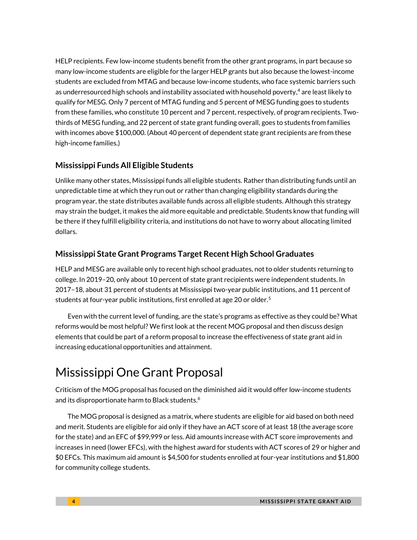HELP recipients. Few low-income students benefit from the other grant programs, in part because so many low-income students are eligible for the larger HELP grants but also because the lowest-income students are excluded from MTAG and because low-income students, who face systemic barriers such as underresourced high schools and instability associated with household poverty, <sup>4</sup> are least likely to qualify for MESG. Only 7 percent of MTAG funding and 5 percent of MESG funding goes to students from these families, who constitute 10 percent and 7 percent, respectively, of program recipients. Twothirds of MESG funding, and 22 percent of state grant funding overall, goes to students from families with incomes above \$100,000. (About 40 percent of dependent state grant recipients are from these high-income families.)

#### **Mississippi Funds All Eligible Students**

Unlike many other states, Mississippi funds all eligible students. Rather than distributing funds until an unpredictable time at which they run out or rather than changing eligibility standards during the program year, the state distributes available funds across all eligible students. Although this strategy may strain the budget, it makes the aid more equitable and predictable. Students know that funding will be there if they fulfill eligibility criteria, and institutions do not have to worry about allocating limited dollars.

#### **Mississippi State Grant Programs Target Recent High School Graduates**

HELP and MESG are available only to recent high school graduates, not to older students returning to college. In 2019–20, only about 10 percent of state grant recipients were independent students. In 2017–18, about 31 percent of students at Mississippi two-year public institutions, and 11 percent of students at four-year public institutions, first enrolled at age 20 or older.<sup>5</sup>

Even with the current level of funding, are the state's programs as effective as they could be? What reforms would be most helpful? We first look at the recent MOG proposal and then discuss design elements that could be part of a reform proposal to increase the effectiveness of state grant aid in increasing educational opportunities and attainment.

# Mississippi One Grant Proposal

Criticism of the MOG proposal has focused on the diminished aid it would offer low-income students and its disproportionate harm to Black students.<sup>6</sup>

The MOG proposal is designed as a matrix, where students are eligible for aid based on both need and merit. Students are eligible for aid only if they have an ACT score of at least 18 (the average score for the state) and an EFC of \$99,999 or less. Aid amounts increase with ACT score improvements and increases in need (lower EFCs), with the highest award for students with ACT scores of 29 or higher and \$0 EFCs. This maximum aid amount is \$4,500 for students enrolled at four-year institutions and \$1,800 for community college students.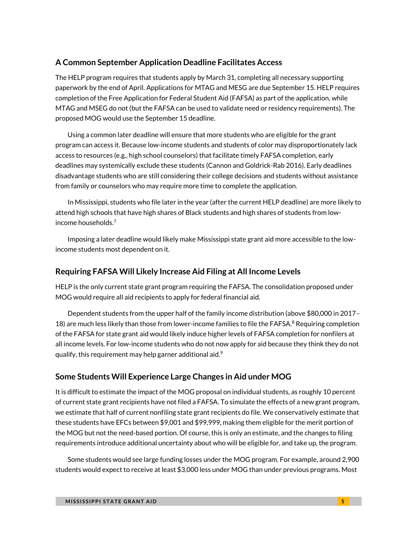#### **A Common September Application Deadline Facilitates Access**

The HELP program requires that students apply by March 31, completing all necessary supporting paperwork by the end of April. Applications for MTAG and MESG are due September 15. HELP requires completion of the Free Application for Federal Student Aid (FAFSA) as part of the application, while MTAG and MSEG do not (but the FAFSA can be used to validate need or residency requirements). The proposed MOG would use the September 15 deadline.

Using a common later deadline will ensure that more students who are eligible for the grant program can access it. Because low-income students and students of color may disproportionately lack access to resources (e.g., high school counselors) that facilitate timely FAFSA completion, early deadlines may systemically exclude these students (Cannon and Goldrick-Rab 2016). Early deadlines disadvantage students who are still considering their college decisions and students without assistance from family or counselors who may require more time to complete the application.

In Mississippi, students who file later in the year (after the current HELP deadline) are more likely to attend high schools that have high shares of Black students and high shares of students from lowincome households.<sup>7</sup>

Imposing a later deadline would likely make Mississippi state grant aid more accessible to the lowincome students most dependent on it.

#### **Requiring FAFSA Will Likely Increase Aid Filing at All Income Levels**

HELP is the only current state grant program requiring the FAFSA. The consolidation proposed under MOG would require all aid recipients to apply for federal financial aid.

Dependent students from the upper half of the family income distribution (above \$80,000 in 2017– 18) are much less likely than those from lower-income families to file the FAFSA.<sup>8</sup> Requiring completion of the FAFSA for state grant aid would likely induce higher levels of FAFSA completion for nonfilers at all income levels. For low-income students who do not now apply for aid because they think they do not qualify, this requirement may help garner additional aid. $^9$ 

### **Some Students Will Experience Large Changes in Aid under MOG**

It is difficult to estimate the impact of the MOG proposal on individual students, as roughly 10 percent of current state grant recipients have not filed a FAFSA. To simulate the effects of a new grant program, we estimate that half of current nonfiling state grant recipients do file. We conservatively estimate that these students have EFCs between \$9,001 and \$99,999, making them eligible for the merit portion of the MOG but not the need-based portion. Of course, this is only an estimate, and the changes to filing requirements introduce additional uncertainty about who will be eligible for, and take up, the program.

Some students would see large funding losses under the MOG program. For example, around 2,900 students would expect to receive at least \$3,000 less under MOG than under previous programs. Most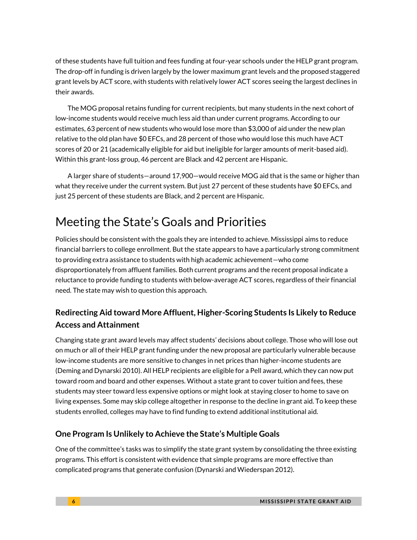of these students have full tuition and fees funding at four-year schools under the HELP grant program. The drop-off in funding is driven largely by the lower maximum grant levels and the proposed staggered grant levels by ACT score, with students with relatively lower ACT scores seeing the largest declines in their awards.

The MOG proposal retains funding for current recipients, but many students in the next cohort of low-income students would receive much less aid than under current programs. According to our estimates, 63 percent of new students who would lose more than \$3,000 of aid under the new plan relative to the old plan have \$0 EFCs, and 28 percent of those who would lose this much have ACT scores of 20 or 21 (academically eligible for aid but ineligible for larger amounts of merit-based aid). Within this grant-loss group, 46 percent are Black and 42 percent are Hispanic.

A larger share of students—around 17,900—would receive MOG aid that is the same or higher than what they receive under the current system. But just 27 percent of these students have \$0 EFCs, and just 25 percent of these students are Black, and 2 percent are Hispanic.

# Meeting the State's Goals and Priorities

Policies should be consistent with the goals they are intended to achieve. Mississippi aims to reduce financial barriers to college enrollment. But the state appears to have a particularly strong commitment to providing extra assistance to students with high academic achievement—who come disproportionately from affluent families. Both current programs and the recent proposal indicate a reluctance to provide funding to students with below-average ACT scores, regardless of their financial need. The state may wish to question this approach.

# **Redirecting Aid toward More Affluent, Higher-Scoring Students Is Likely to Reduce Access and Attainment**

Changing state grant award levels may affect students' decisions about college. Those who will lose out on much or all of their HELP grant funding under the new proposal are particularly vulnerable because low-income students are more sensitive to changes in net prices than higher-income students are (Deming and Dynarski 2010). All HELP recipients are eligible for a Pell award, which they can now put toward room and board and other expenses. Without a state grant to cover tuition and fees, these students may steer toward less expensive options or might look at staying closer to home to save on living expenses. Some may skip college altogether in response to the decline in grant aid. To keep these students enrolled, colleges may have to find funding to extend additional institutional aid.

## **One Program Is Unlikely to Achieve the State's Multiple Goals**

One of the committee's tasks was to simplify the state grant system by consolidating the three existing programs. This effort is consistent with evidence that simple programs are more effective than complicated programs that generate confusion (Dynarski and Wiederspan 2012).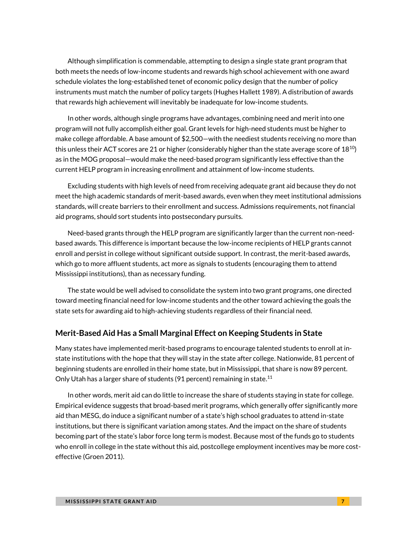Although simplification is commendable, attempting to design a single state grant program that both meets the needs of low-income students and rewards high school achievement with one award schedule violates the long-established tenet of economic policy design that the number of policy instruments must match the number of policy targets (Hughes Hallett 1989). A distribution of awards that rewards high achievement will inevitably be inadequate for low-income students.

In other words, although single programs have advantages, combining need and merit into one program will not fully accomplish either goal. Grant levels for high-need students must be higher to make college affordable. A base amount of \$2,500—with the neediest students receiving no more than this unless their ACT scores are 21 or higher (considerably higher than the state average score of  $18^{10}$ ) as in the MOG proposal—would make the need-based program significantly less effective than the current HELP program in increasing enrollment and attainment of low-income students.

Excluding students with high levels of need from receiving adequate grant aid because they do not meet the high academic standards of merit-based awards, even when they meet institutional admissions standards, will create barriers to their enrollment and success. Admissions requirements, not financial aid programs, should sort students into postsecondary pursuits.

Need-based grants through the HELP program are significantly larger than the current non-needbased awards. This difference is important because the low-income recipients of HELP grants cannot enroll and persist in college without significant outside support. In contrast, the merit-based awards, which go to more affluent students, act more as signals to students (encouraging them to attend Mississippi institutions), than as necessary funding.

The state would be well advised to consolidate the system into two grant programs, one directed toward meeting financial need for low-income students and the other toward achieving the goals the state sets for awarding aid to high-achieving students regardless of their financial need.

#### **Merit-Based Aid Has a Small Marginal Effect on Keeping Students in State**

Many states have implemented merit-based programs to encourage talented students to enroll at instate institutions with the hope that they will stay in the state after college. Nationwide, 81 percent of beginning students are enrolled in their home state, but in Mississippi, that share is now 89 percent. Only Utah has a larger share of students (91 percent) remaining in state.<sup>11</sup>

In other words, merit aid can do little to increase the share of students staying in state for college. Empirical evidence suggests that broad-based merit programs, which generally offer significantly more aid than MESG, do induce a significant number of a state's high school graduates to attend in-state institutions, but there is significant variation among states. And the impact on the share of students becoming part of the state's labor force long term is modest. Because most of the funds go to students who enroll in college in the state without this aid, postcollege employment incentives may be more costeffective (Groen 2011).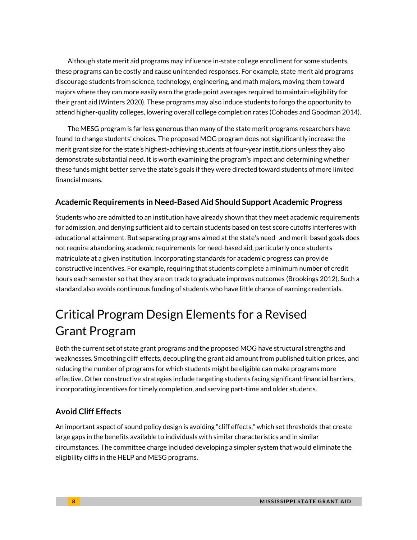Although state merit aid programs may influence in-state college enrollment for some students, these programs can be costly and cause unintended responses. For example, state merit aid programs discourage students from science, technology, engineering, and math majors, moving them toward majors where they can more easily earn the grade point averages required to maintain eligibility for their grant aid (Winters 2020). These programs may also induce students to forgo the opportunity to attend higher-quality colleges, lowering overall college completion rates (Cohodes and Goodman 2014).

The MESG program is far less generous than many of the state merit programs researchers have found to change students' choices. The proposed MOG program does not significantly increase the merit grant size for the state's highest-achieving students at four-year institutions unless they also demonstrate substantial need. It is worth examining the program's impact and determining whether these funds might better serve the state's goals if they were directed toward students of more limited financial means.

### **Academic Requirements in Need-Based Aid Should Support Academic Progress**

Students who are admitted to an institution have already shown that they meet academic requirements for admission, and denying sufficient aid to certain students based on test score cutoffs interferes with educational attainment. But separating programs aimed at the state's need- and merit-based goals does not require abandoning academic requirements for need-based aid, particularly once students matriculate at a given institution. Incorporating standards for academic progress can provide constructive incentives. For example, requiring that students complete a minimum number of credit hours each semester so that they are on track to graduate improves outcomes (Brookings 2012). Such a standard also avoids continuous funding of students who have little chance of earning credentials.

# Critical Program Design Elements for a Revised Grant Program

Both the current set of state grant programs and the proposed MOG have structural strengths and weaknesses. Smoothing cliff effects, decoupling the grant aid amount from published tuition prices, and reducing the number of programs for which students might be eligible can make programs more effective. Other constructive strategies include targeting students facing significant financial barriers, incorporating incentives for timely completion, and serving part-time and older students.

## **Avoid Cliff Effects**

An important aspect of sound policy design is avoiding "cliff effects," which set thresholds that create large gaps in the benefits available to individuals with similar characteristics and in similar circumstances. The committee charge included developing a simpler system that would eliminate the eligibility cliffs in the HELP and MESG programs.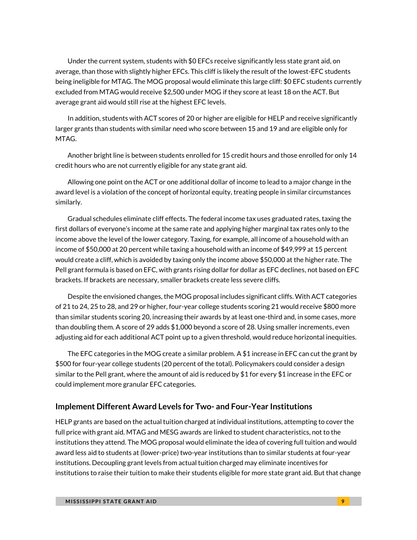Under the current system, students with \$0 EFCs receive significantly less state grant aid, on average, than those with slightly higher EFCs. This cliff is likely the result of the lowest-EFC students being ineligible for MTAG. The MOG proposal would eliminate this large cliff: \$0 EFC students currently excluded from MTAG would receive \$2,500 under MOG if they score at least 18 on the ACT. But average grant aid would still rise at the highest EFC levels.

In addition, students with ACT scores of 20 or higher are eligible for HELP and receive significantly larger grants than students with similar need who score between 15 and 19 and are eligible only for MTAG.

Another bright line is between students enrolled for 15 credit hours and those enrolled for only 14 credit hours who are not currently eligible for any state grant aid.

Allowing one point on the ACT or one additional dollar of income to lead to a major change in the award level is a violation of the concept of horizontal equity, treating people in similar circumstances similarly.

Gradual schedules eliminate cliff effects. The federal income tax uses graduated rates, taxing the first dollars of everyone's income at the same rate and applying higher marginal tax rates only to the income above the level of the lower category. Taxing, for example, all income of a household with an income of \$50,000 at 20 percent while taxing a household with an income of \$49,999 at 15 percent would create a cliff, which is avoided by taxing only the income above \$50,000 at the higher rate. The Pell grant formula is based on EFC, with grants rising dollar for dollar as EFC declines, not based on EFC brackets. If brackets are necessary, smaller brackets create less severe cliffs.

Despite the envisioned changes, the MOG proposal includes significant cliffs. With ACT categories of 21 to 24, 25 to 28, and 29 or higher, four-year college students scoring 21 would receive \$800 more than similar students scoring 20, increasing their awards by at least one-third and, in some cases, more than doubling them. A score of 29 adds \$1,000 beyond a score of 28. Using smaller increments, even adjusting aid for each additional ACT point up to a given threshold, would reduce horizontal inequities.

The EFC categories in the MOG create a similar problem. A \$1 increase in EFC can cut the grant by \$500 for four-year college students (20 percent of the total). Policymakers could consider a design similar to the Pell grant, where the amount of aid is reduced by \$1 for every \$1 increase in the EFC or could implement more granular EFC categories.

#### **Implement Different Award Levels for Two- and Four-Year Institutions**

HELP grants are based on the actual tuition charged at individual institutions, attempting to cover the full price with grant aid. MTAG and MESG awards are linked to student characteristics, not to the institutions they attend. The MOG proposal would eliminate the idea of covering full tuition and would award less aid to students at (lower-price) two-year institutions than to similar students at four-year institutions. Decoupling grant levels from actual tuition charged may eliminate incentives for institutions to raise their tuition to make their students eligible for more state grant aid. But that change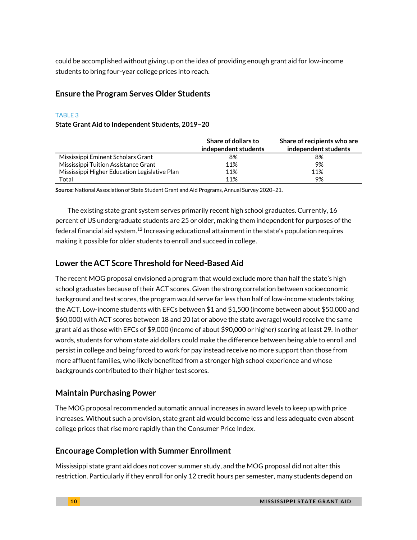could be accomplished without giving up on the idea of providing enough grant aid for low-income students to bring four-year college prices into reach.

### **Ensure the Program Serves Older Students**

#### TABLE 3

#### **State Grant Aid to Independent Students, 2019–20**

|                                               | <b>Share of dollars to</b> | Share of recipients who are |
|-----------------------------------------------|----------------------------|-----------------------------|
|                                               | independent students       | independent students        |
| Mississippi Eminent Scholars Grant            | 8%                         | 8%                          |
| Mississippi Tuition Assistance Grant          | 11%                        | 9%                          |
| Mississippi Higher Education Legislative Plan | 11%                        | 11%                         |
| Total                                         | 11%                        | 9%                          |

**Source:** National Association of State Student Grant and Aid Programs, Annual Survey 2020–21.

The existing state grant system serves primarily recent high school graduates. Currently, 16 percent of US undergraduate students are 25 or older, making them independent for purposes of the federal financial aid system.<sup>12</sup> Increasing educational attainment in the state's population requires making it possible for older students to enroll and succeed in college.

### **Lower the ACT Score Threshold for Need-Based Aid**

The recent MOG proposal envisioned a program that would exclude more than half the state's high school graduates because of their ACT scores. Given the strong correlation between socioeconomic background and test scores, the program would serve far less than half of low-income students taking the ACT. Low-income students with EFCs between \$1 and \$1,500 (income between about \$50,000 and \$60,000) with ACT scores between 18 and 20 (at or above the state average) would receive the same grant aid as those with EFCs of \$9,000 (income of about \$90,000 or higher) scoring at least 29. In other words, students for whom state aid dollars could make the difference between being able to enroll and persist in college and being forced to work for pay instead receive no more support than those from more affluent families, who likely benefited from a stronger high school experience and whose backgrounds contributed to their higher test scores.

### **Maintain Purchasing Power**

The MOG proposal recommended automatic annual increases in award levels to keep up with price increases. Without such a provision, state grant aid would become less and less adequate even absent college prices that rise more rapidly than the Consumer Price Index.

### **Encourage Completion with Summer Enrollment**

Mississippi state grant aid does not cover summer study, and the MOG proposal did not alter this restriction. Particularly if they enroll for only 12 credit hours per semester, many students depend on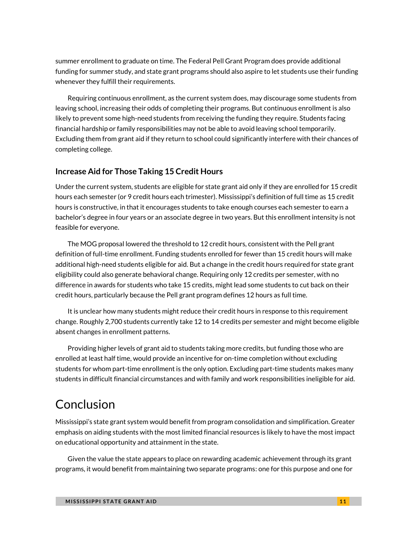summer enrollment to graduate on time. The Federal Pell Grant Program does provide additional funding for summer study, and state grant programs should also aspire to let students use their funding whenever they fulfill their requirements.

Requiring continuous enrollment, as the current system does, may discourage some students from leaving school, increasing their odds of completing their programs. But continuous enrollment is also likely to prevent some high-need students from receiving the funding they require. Students facing financial hardship or family responsibilities may not be able to avoid leaving school temporarily. Excluding them from grant aid if they return to school could significantly interfere with their chances of completing college.

### **Increase Aid for Those Taking 15 Credit Hours**

Under the current system, students are eligible for state grant aid only if they are enrolled for 15 credit hours each semester (or 9 credit hours each trimester). Mississippi's definition of full time as 15 credit hours is constructive, in that it encourages students to take enough courses each semester to earn a bachelor's degree in four years or an associate degree in two years. But this enrollment intensity is not feasible for everyone.

The MOG proposal lowered the threshold to 12 credit hours, consistent with the Pell grant definition of full-time enrollment. Funding students enrolled for fewer than 15 credit hours will make additional high-need students eligible for aid. But a change in the credit hours required for state grant eligibility could also generate behavioral change. Requiring only 12 credits per semester, with no difference in awards for students who take 15 credits, might lead some students to cut back on their credit hours, particularly because the Pell grant program defines 12 hours as full time.

It is unclear how many students might reduce their credit hours in response to this requirement change. Roughly 2,700 students currently take 12 to 14 credits per semester and might become eligible absent changes in enrollment patterns.

Providing higher levels of grant aid to students taking more credits, but funding those who are enrolled at least half time, would provide an incentive for on-time completion without excluding students for whom part-time enrollment is the only option. Excluding part-time students makes many students in difficult financial circumstances and with family and work responsibilities ineligible for aid.

# Conclusion

Mississippi's state grant system would benefit from program consolidation and simplification. Greater emphasis on aiding students with the most limited financial resources is likely to have the most impact on educational opportunity and attainment in the state.

Given the value the state appears to place on rewarding academic achievement through its grant programs, it would benefit from maintaining two separate programs: one for this purpose and one for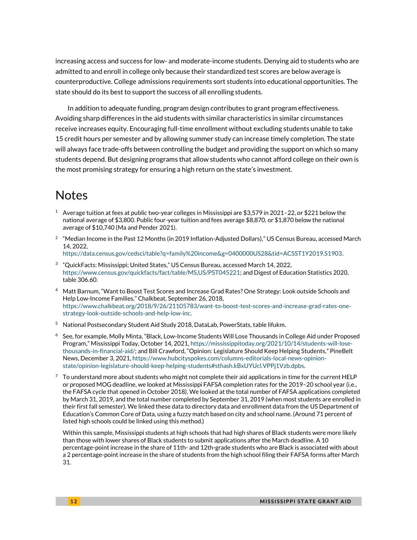increasing access and success for low- and moderate-income students. Denying aid to students who are admitted to and enroll in college only because their standardized test scores are below average is counterproductive. College admissions requirements sort students into educational opportunities. The state should do its best to support the success of all enrolling students.

In addition to adequate funding, program design contributes to grant program effectiveness. Avoiding sharp differences in the aid students with similar characteristics in similar circumstances receive increases equity. Encouraging full-time enrollment without excluding students unable to take 15 credit hours per semester and by allowing summer study can increase timely completion. The state will always face trade-offs between controlling the budget and providing the support on which so many students depend. But designing programs that allow students who cannot afford college on their own is the most promising strategy for ensuring a high return on the state's investment.

# Notes

- $1$  Average tuition at fees at public two-year colleges in Mississippi are \$3,579 in 2021–22, or \$221 below the national average of \$3,800. Public four-year tuition and fees average \$8,870, or \$1,870 below the national average of \$10,740 (Ma and Pender 2021).
- $^2$  "Median Income in the Past 12 Months (in 2019 Inflation-Adjusted Dollars)," US Census Bureau, accessed March 14, 2022, [https://data.census.gov/cedsci/table?q=family%20income&g=0400000US28&tid=ACSST1Y2019.S1903.](https://data.census.gov/cedsci/table?q=family%20income&g=0400000US28&tid=ACSST1Y2019.S1903)
- 3 "QuickFacts: Mississippi; United States," US Census Bureau, accessed March 14, 2022, [https://www.census.gov/quickfacts/fact/table/MS,US/PST045221;](https://www.census.gov/quickfacts/fact/table/MS,US/PST045221) and Digest of Education Statistics 2020, table 306.60.
- <sup>4</sup> Matt Barnum, "Want to Boost Test Scores and Increase Grad Rates? One Strategy: Look outside Schools and Help Low-Income Families," Chalkbeat, September 26, 2018, [https://www.chalkbeat.org/2018/9/26/21105783/want-to-boost-test-scores-and-increase-grad-rates-one](https://www.chalkbeat.org/2018/9/26/21105783/want-to-boost-test-scores-and-increase-grad-rates-one-strategy-look-outside-schools-and-help-low-inc)[strategy-look-outside-schools-and-help-low-inc.](https://www.chalkbeat.org/2018/9/26/21105783/want-to-boost-test-scores-and-increase-grad-rates-one-strategy-look-outside-schools-and-help-low-inc)
- <sup>5</sup> National Postsecondary Student Aid Study 2018, DataLab, PowerStats, table lifukm.
- <sup>6</sup> See, for example, Molly Minta, "Black, Low-Income Students Will Lose Thousands in College Aid under Proposed Program," Mississippi Today, October 14, 2021, [https://mississippitoday.org/2021/10/14/students-will-lose](https://mississippitoday.org/2021/10/14/students-will-lose-thousands-in-financial-aid/)[thousands-in-financial-aid/](https://mississippitoday.org/2021/10/14/students-will-lose-thousands-in-financial-aid/); and Bill Crawford, "Opinion: Legislature Should Keep Helping Students," PineBelt News, December 3, 2021[, https://www.hubcityspokes.com/columns-editorials-local-news-opinion](https://www.hubcityspokes.com/columns-editorials-local-news-opinion-state/opinion-legislature-should-keep-helping-students#sthash.kBxUYUcl.VPPj1Vzb.dpbs)[state/opinion-legislature-should-keep-helping-students#sthash.kBxUYUcl.VPPj1Vzb.dpbs.](https://www.hubcityspokes.com/columns-editorials-local-news-opinion-state/opinion-legislature-should-keep-helping-students#sthash.kBxUYUcl.VPPj1Vzb.dpbs)
- $7$  To understand more about students who might not complete their aid applications in time for the current HELP or proposed MOG deadline, we looked at Mississippi FAFSA completion rates for the 2019–20 school year (i.e., the FAFSA cycle that opened in October 2018). We looked at the total number of FAFSA applications completed by March 31, 2019, and the total number completed by September 31, 2019 (when most students are enrolled in their first fall semester). We linked these data to directory data and enrollment data from the US Department of Education's Common Core of Data, using a fuzzy match based on city and school name. (Around 71 percent of listed high schools could be linked using this method.)

Within this sample, Mississippi students at high schools that had high shares of Black students were more likely than those with lower shares of Black students to submit applications after the March deadline. A 10 percentage-point increase in the share of 11th- and 12th-grade students who are Black is associated with about a 2 percentage-point increase in the share of students from the high school filing their FAFSA forms after March 31.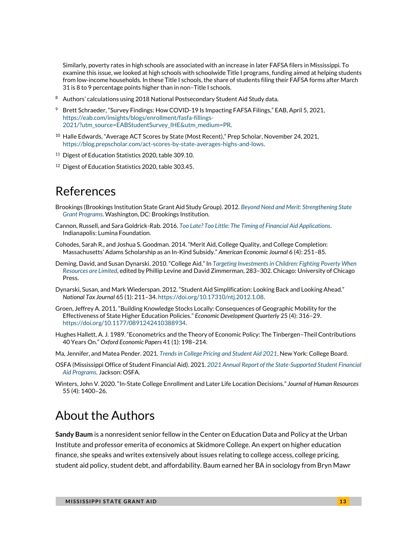Similarly, poverty rates in high schools are associated with an increase in later FAFSA filers in Mississippi. To examine this issue, we looked at high schools with schoolwide Title I programs, funding aimed at helping students from low-income households. In these Title I schools, the share of students filing their FAFSA forms after March 31 is 8 to 9 percentage points higher than in non–Title I schools.

- <sup>8</sup> Authors' calculations using 2018 National Postsecondary Student Aid Study data.
- <sup>9</sup> Brett Schraeder, "Survey Findings: How COVID-19 Is Impacting FAFSA Filings," EAB, April 5, 2021, [https://eab.com/insights/blogs/enrollment/fasfa-fillings-](https://eab.com/insights/blogs/enrollment/fasfa-fillings-2021/?utm_source=EABStudentSurvey_IHE&utm_medium=PR)[2021/?utm\\_source=EABStudentSurvey\\_IHE&utm\\_medium=PR.](https://eab.com/insights/blogs/enrollment/fasfa-fillings-2021/?utm_source=EABStudentSurvey_IHE&utm_medium=PR)
- <sup>10</sup> Halle Edwards, "Average ACT Scores by State (Most Recent)," Prep Scholar, November 24, 2021, [https://blog.prepscholar.com/act-scores-by-state-averages-highs-and-lows.](https://blog.prepscholar.com/act-scores-by-state-averages-highs-and-lows)
- <sup>11</sup> Digest of Education Statistics 2020, table 309.10.
- <sup>12</sup> Digest of Education Statistics 2020, table 303.45.

# References

- Brookings (Brookings Institution State Grant Aid Study Group). 2012. *[Beyond Need and Merit: Strengthening State](https://www.brookings.edu/wp-content/uploads/2016/06/0508_state_grant_chingos_whitehurst.pdf)  [Grant Programs](https://www.brookings.edu/wp-content/uploads/2016/06/0508_state_grant_chingos_whitehurst.pdf)*. Washington, DC: Brookings Institution.
- Cannon, Russell, and Sara Goldrick-Rab. 2016. *[Too Late? Too Little: The Timing of Financial Aid Applications](https://www.luminafoundation.org/files/resources/too-late-too-little.pdf)*. Indianapolis: Lumina Foundation.
- Cohodes, Sarah R., and Joshua S. Goodman. 2014. "Merit Aid, College Quality, and College Completion: Massachusetts' Adams Scholarship as an In-Kind Subsidy." *American Economic Journal* 6 (4): 251–85.
- Deming, David, and Susan Dynarski. 2010. "College Aid." In *[Targeting Investments in Children: Fighting Poverty When](https://www.nber.org/books-and-chapters/targeting-investments-children-fighting-poverty-when-resources-are-limited)  [Resources are Limited](https://www.nber.org/books-and-chapters/targeting-investments-children-fighting-poverty-when-resources-are-limited)*, edited by Phillip Levine and David Zimmerman, 283–302. Chicago: University of Chicago Press.
- Dynarski, Susan, and Mark Wiederspan. 2012. "Student Aid Simplification: Looking Back and Looking Ahead." *National Tax Journal* 65 (1): 211–34[. https://doi.org/10.17310/ntj.2012.1.08.](https://doi.org/10.17310/ntj.2012.1.08)
- Groen, Jeffrey A. 2011. "Building Knowledge Stocks Locally: Consequences of Geographic Mobility for the Effectiveness of State Higher Education Policies." *Economic Development Quarterly* 25 (4): 316–29. [https://doi.org/10.1177/0891242410388934.](https://doi.org/10.1177%2F0891242410388934)
- Hughes Hallett, A. J. 1989. "Econometrics and the Theory of Economic Policy: The Tinbergen–Theil Contributions 40 Years On." *Oxford Economic Papers* 41 (1): 198–214.
- Ma, Jennifer, and Matea Pender. 2021. *[Trends in College Pricing and Student Aid 2021](https://research.collegeboard.org/media/pdf/trends-college-pricing-student-aid-2021.pdf)*. New York: College Board.
- OSFA (Mississippi Office of Student Financial Aid). 2021. *[2021 Annual Report of the State-Supported Student Financial](http://www.msfinancialaid.org/wp-content/uploads/2022/01/Annual-Report_21.pdf)  [Aid Programs](http://www.msfinancialaid.org/wp-content/uploads/2022/01/Annual-Report_21.pdf)*. Jackson: OSFA.
- Winters, John V. 2020. "In-State College Enrollment and Later Life Location Decisions." *Journal of Human Resources* 55 (4): 1400–26.

# About the Authors

**Sandy Baum** is a nonresident senior fellow in the Center on Education Data and Policy at the Urban Institute and professor emerita of economics at Skidmore College. An expert on higher education finance, she speaks and writes extensively about issues relating to college access, college pricing, student aid policy, student debt, and affordability. Baum earned her BA in sociology from Bryn Mawr